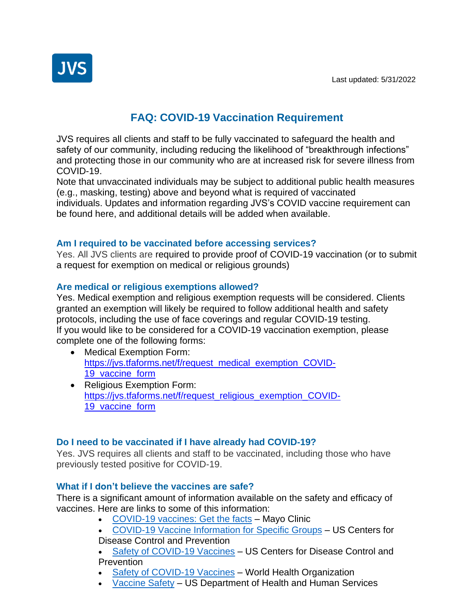

# **FAQ: COVID-19 Vaccination Requirement**

JVS requires all clients and staff to be fully vaccinated to safeguard the health and safety of our community, including reducing the likelihood of "breakthrough infections" and protecting those in our community who are at increased risk for severe illness from COVID-19.

Note that unvaccinated individuals may be subject to additional public health measures (e.g., masking, testing) above and beyond what is required of vaccinated individuals. Updates and information regarding JVS's COVID vaccine requirement can be found here, and additional details will be added when available.

# **Am I required to be vaccinated before accessing services?**

Yes. All JVS clients are required to provide proof of COVID-19 vaccination (or to submit a request for exemption on medical or religious grounds)

# **Are medical or religious exemptions allowed?**

Yes. Medical exemption and religious exemption requests will be considered. Clients granted an exemption will likely be required to follow additional health and safety protocols, including the use of face coverings and regular COVID-19 testing. If you would like to be considered for a COVID-19 vaccination exemption, please complete one of the following forms:

- Medical Exemption Form: [https://jvs.tfaforms.net/f/request\\_medical\\_exemption\\_COVID-](https://jvs.tfaforms.net/f/request_medical_exemption_COVID-19_vaccine_form)19 vaccine form
- Religious Exemption Form: [https://jvs.tfaforms.net/f/request\\_religious\\_exemption\\_COVID-](https://jvs.tfaforms.net/f/request_religious_exemption_COVID-19_vaccine_form)19 vaccine form

# **Do I need to be vaccinated if I have already had COVID-19?**

Yes. JVS requires all clients and staff to be vaccinated, including those who have previously tested positive for COVID-19.

### **What if I don't believe the vaccines are safe?**

There is a significant amount of information available on the safety and efficacy of vaccines. Here are links to some of this information:

- COVID-19 vaccines: Get the facts Mayo Clinic
- COVID-19 Vaccine Information for Specific Groups US Centers for Disease Control and Prevention
- Safety of COVID-19 Vaccines US Centers for Disease Control and **Prevention**
- Safety of COVID-19 Vaccines World Health Organization
- Vaccine Safety US Department of Health and Human Services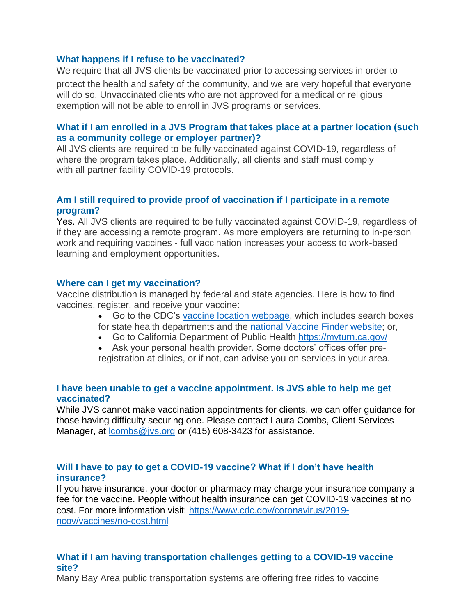### **What happens if I refuse to be vaccinated?**

We require that all JVS clients be vaccinated prior to accessing services in order to protect the health and safety of the community, and we are very hopeful that everyone will do so. Unvaccinated clients who are not approved for a medical or religious exemption will not be able to enroll in JVS programs or services.

### **What if I am enrolled in a JVS Program that takes place at a partner location (such as a community college or employer partner)?**

All JVS clients are required to be fully vaccinated against COVID-19, regardless of where the program takes place. Additionally, all clients and staff must comply with all partner facility COVID-19 protocols.

### **Am I still required to provide proof of vaccination if I participate in a remote program?**

Yes. All JVS clients are required to be fully vaccinated against COVID-19, regardless of if they are accessing a remote program. As more employers are returning to in-person work and requiring vaccines - full vaccination increases your access to work-based learning and employment opportunities.

### **Where can I get my vaccination?**

Vaccine distribution is managed by federal and state agencies. Here is how to find vaccines, register, and receive your vaccine:

- Go to the CDC's vaccine location webpage, which includes search boxes for state health departments and the national Vaccine Finder website; or,
- Go to California Department of Public Health https://myturn.ca.gov/
- Ask your personal health provider. Some doctors' offices offer preregistration at clinics, or if not, can advise you on services in your area.

### **I have been unable to get a vaccine appointment. Is JVS able to help me get vaccinated?**

While JVS cannot make vaccination appointments for clients, we can offer guidance for those having difficulty securing one. Please contact Laura Combs, Client Services Manager, at *Icombs@jvs.org* or (415) 608-3423 for assistance.

### **Will I have to pay to get a COVID-19 vaccine? What if I don't have health insurance?**

If you have insurance, your doctor or pharmacy may charge your insurance company a fee for the vaccine. People without health insurance can get COVID-19 vaccines at no cost. For more information visit: https:/[/www.cdc.gov/coronavirus/2019](http://www.cdc.gov/coronavirus/2019-) ncov/vaccines/no-cost.html

### **What if I am having transportation challenges getting to a COVID-19 vaccine site?**

Many Bay Area public transportation systems are offering free rides to vaccine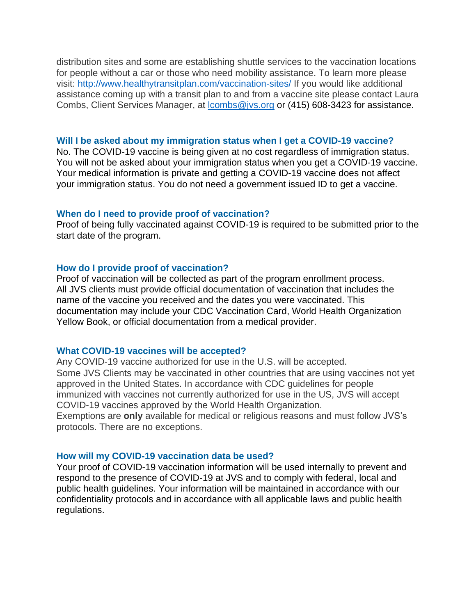distribution sites and some are establishing shuttle services to the vaccination locations for people without a car or those who need mobility assistance. To learn more please visit:<http://www.healthytransitplan.com/vaccination-sites/> If you would like additional assistance coming up with a transit plan to and from a vaccine site please contact Laura Combs, Client Services Manager, at [lcombs@jvs.org](mailto:lcombs@jvs.org) or (415) 608-3423 for assistance.

#### **Will I be asked about my immigration status when I get a COVID-19 vaccine?**

No. The COVID-19 vaccine is being given at no cost regardless of immigration status. You will not be asked about your immigration status when you get a COVID-19 vaccine. Your medical information is private and getting a COVID-19 vaccine does not affect your immigration status. You do not need a government issued ID to get a vaccine.

#### **When do I need to provide proof of vaccination?**

Proof of being fully vaccinated against COVID-19 is required to be submitted prior to the start date of the program.

#### **How do I provide proof of vaccination?**

Proof of vaccination will be collected as part of the program enrollment process. All JVS clients must provide official documentation of vaccination that includes the name of the vaccine you received and the dates you were vaccinated. This documentation may include your CDC Vaccination Card, World Health Organization Yellow Book, or official documentation from a medical provider.

#### **What COVID-19 vaccines will be accepted?**

Any COVID-19 vaccine authorized for use in the U.S. will be accepted. Some JVS Clients may be vaccinated in other countries that are using vaccines not yet approved in the United States. In accordance with CDC guidelines for people immunized with vaccines not currently authorized for use in the US, JVS will accept COVID-19 vaccines approved by the World Health Organization.

Exemptions are **only** available for medical or religious reasons and must follow JVS's protocols. There are no exceptions.

#### **How will my COVID-19 vaccination data be used?**

Your proof of COVID-19 vaccination information will be used internally to prevent and respond to the presence of COVID-19 at JVS and to comply with federal, local and public health guidelines. Your information will be maintained in accordance with our confidentiality protocols and in accordance with all applicable laws and public health regulations.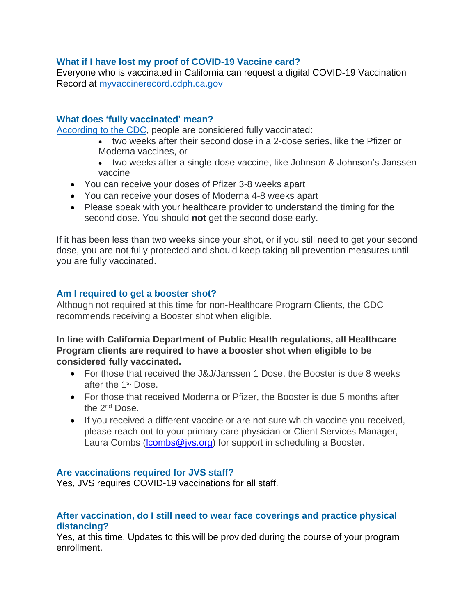## **What if I have lost my proof of COVID-19 Vaccine card?**

Everyone who is vaccinated in California can request a digital COVID-19 Vaccination Record at myvaccinerecord.cdph.ca.gov

## **What does 'fully vaccinated' mean?**

According to the CDC, people are considered fully vaccinated:

- two weeks after their second dose in a 2-dose series, like the Pfizer or Moderna vaccines, or
- two weeks after a single-dose vaccine, like Johnson & Johnson's Janssen vaccine
- You can receive your doses of Pfizer 3-8 weeks apart
- You can receive your doses of Moderna 4-8 weeks apart
- Please speak with your healthcare provider to understand the timing for the second dose. You should **not** get the second dose early.

If it has been less than two weeks since your shot, or if you still need to get your second dose, you are not fully protected and should keep taking all prevention measures until you are fully vaccinated.

# **Am I required to get a booster shot?**

Although not required at this time for non-Healthcare Program Clients, the CDC recommends receiving a Booster shot when eligible.

### **In line with California Department of Public Health regulations, all Healthcare Program clients are required to have a booster shot when eligible to be considered fully vaccinated.**

- For those that received the J&J/Janssen 1 Dose, the Booster is due 8 weeks after the 1st Dose.
- For those that received Moderna or Pfizer, the Booster is due 5 months after the 2nd Dose.
- If you received a different vaccine or are not sure which vaccine you received, please reach out to your primary care physician or Client Services Manager, Laura Combs (Icombs@jvs.org) for support in scheduling a Booster.

### **Are vaccinations required for JVS staff?**

Yes, JVS requires COVID-19 vaccinations for all staff.

### **After vaccination, do I still need to wear face coverings and practice physical distancing?**

Yes, at this time. Updates to this will be provided during the course of your program enrollment.